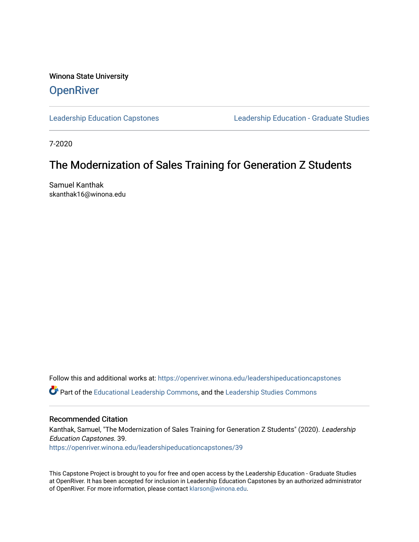Winona State University **OpenRiver** 

[Leadership Education Capstones](https://openriver.winona.edu/leadershipeducationcapstones) [Leadership Education - Graduate Studies](https://openriver.winona.edu/leadershipeducation) 

7-2020

### The Modernization of Sales Training for Generation Z Students

Samuel Kanthak skanthak16@winona.edu

Follow this and additional works at: [https://openriver.winona.edu/leadershipeducationcapstones](https://openriver.winona.edu/leadershipeducationcapstones?utm_source=openriver.winona.edu%2Fleadershipeducationcapstones%2F39&utm_medium=PDF&utm_campaign=PDFCoverPages) 

Part of the [Educational Leadership Commons,](http://network.bepress.com/hgg/discipline/1230?utm_source=openriver.winona.edu%2Fleadershipeducationcapstones%2F39&utm_medium=PDF&utm_campaign=PDFCoverPages) and the [Leadership Studies Commons](http://network.bepress.com/hgg/discipline/1250?utm_source=openriver.winona.edu%2Fleadershipeducationcapstones%2F39&utm_medium=PDF&utm_campaign=PDFCoverPages)

#### Recommended Citation

Kanthak, Samuel, "The Modernization of Sales Training for Generation Z Students" (2020). Leadership Education Capstones. 39. [https://openriver.winona.edu/leadershipeducationcapstones/39](https://openriver.winona.edu/leadershipeducationcapstones/39?utm_source=openriver.winona.edu%2Fleadershipeducationcapstones%2F39&utm_medium=PDF&utm_campaign=PDFCoverPages) 

This Capstone Project is brought to you for free and open access by the Leadership Education - Graduate Studies at OpenRiver. It has been accepted for inclusion in Leadership Education Capstones by an authorized administrator of OpenRiver. For more information, please contact [klarson@winona.edu.](mailto:klarson@winona.edu)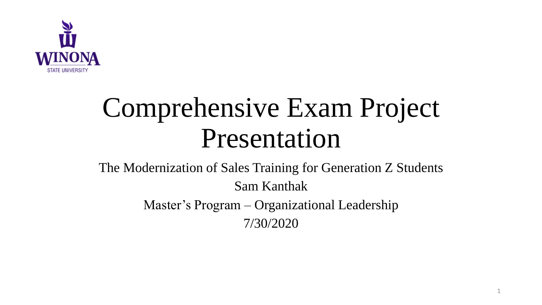

# Comprehensive Exam Project Presentation

### The Modernization of Sales Training for Generation Z Students Sam Kanthak Master's Program – Organizational Leadership 7/30/2020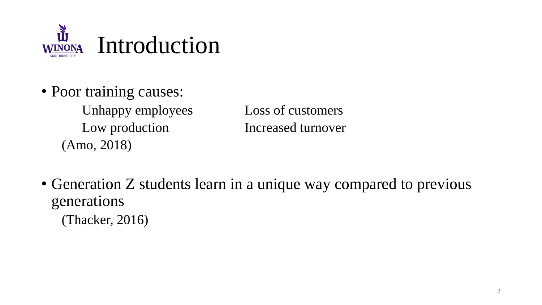

• Poor training causes: Unhappy employees Loss of customers

Low production **Increased turnover** 

- Generation Z students learn in a unique way compared to previous generations
	- (Thacker, 2016)

(Amo, 2018)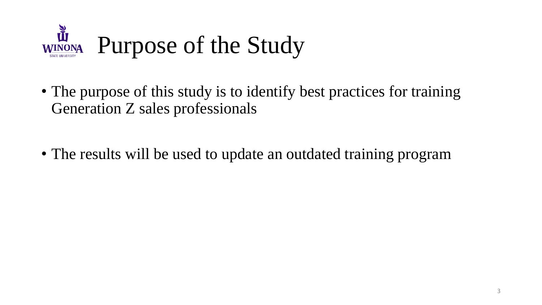

- The purpose of this study is to identify best practices for training Generation Z sales professionals
- The results will be used to update an outdated training program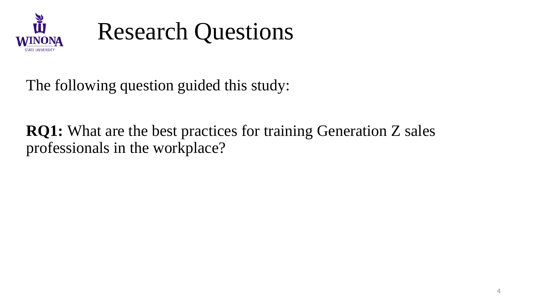



The following question guided this study:

**RQ1:** What are the best practices for training Generation Z sales professionals in the workplace?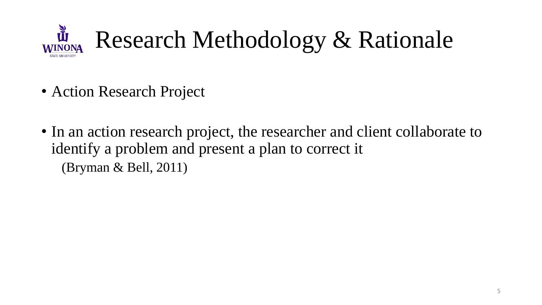

- Action Research Project
- In an action research project, the researcher and client collaborate to identify a problem and present a plan to correct it (Bryman & Bell, 2011)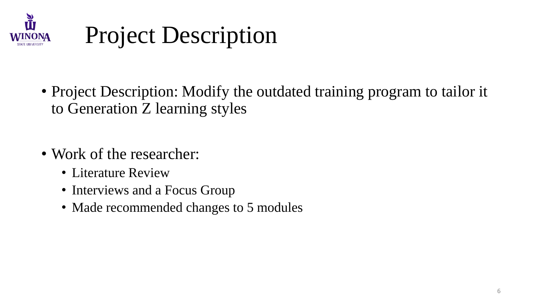

### Project Description

- Project Description: Modify the outdated training program to tailor it to Generation Z learning styles
- Work of the researcher:
	- Literature Review
	- Interviews and a Focus Group
	- Made recommended changes to 5 modules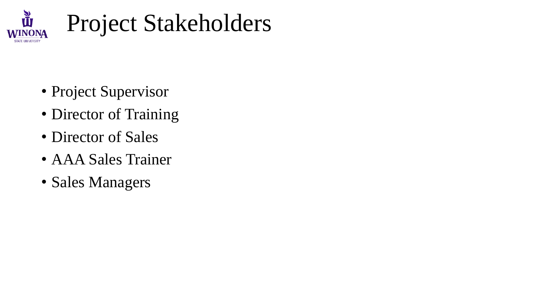

# Project Stakeholders

- Project Supervisor
- Director of Training
- Director of Sales
- AAA Sales Trainer
- Sales Managers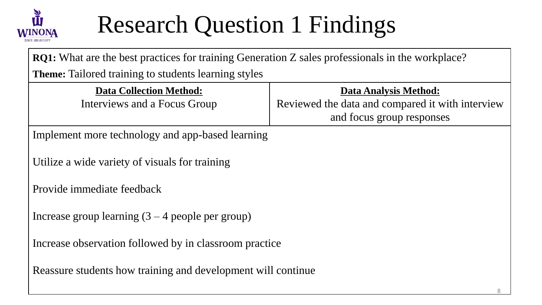

# Research Question 1 Findings

**RQ1:** What are the best practices for training Generation Z sales professionals in the workplace?

**Theme:** Tailored training to students learning styles

| <b>Data Collection Method:</b><br>Interviews and a Focus Group | <b>Data Analysis Method:</b><br>Reviewed the data and compared it with interview<br>and focus group responses |  |
|----------------------------------------------------------------|---------------------------------------------------------------------------------------------------------------|--|
| Implement more technology and app-based learning               |                                                                                                               |  |
| Utilize a wide variety of visuals for training                 |                                                                                                               |  |
| Provide immediate feedback                                     |                                                                                                               |  |
| Increase group learning $(3 - 4$ people per group)             |                                                                                                               |  |
| Increase observation followed by in classroom practice         |                                                                                                               |  |
| Reassure students how training and development will continue   |                                                                                                               |  |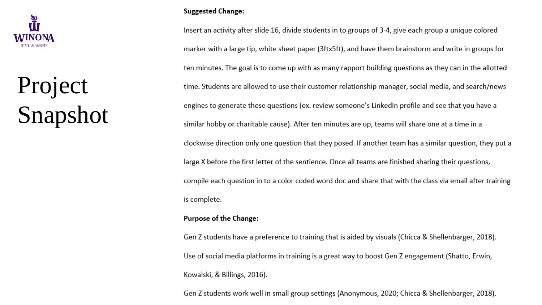

# Project Snapshot

#### **Suggested Change:**

Insert an activity after slide 16, divide students in to groups of 3-4, give each group a unique colored marker with a large tip, white sheet paper (3ftx5ft), and have them brainstorm and write in groups for ten minutes. The goal is to come up with as many rapport building questions as they can in the allotted time. Students are allowed to use their customer relationship manager, social media, and search/news engines to generate these questions (ex. review someone's LinkedIn profile and see that you have a similar hobby or charitable cause). After ten minutes are up, teams will share one at a time in a clockwise direction only one question that they posed. If another team has a similar question, they put a large X before the first letter of the sentience. Once all teams are finished sharing their questions, compile each question in to a color coded word doc and share that with the class via email after training is complete.

#### **Purpose of the Change:**

Gen Z students have a preference to training that is aided by visuals (Chicca & Shellenbarger, 2018). Use of social media platforms in training is a great way to boost Gen Z engagement (Shatto, Erwin, Kowalski, & Billings, 2016).

Gen Z students work well in small group settings (Anonymous, 2020; Chicca & Shellenbarger, 2018).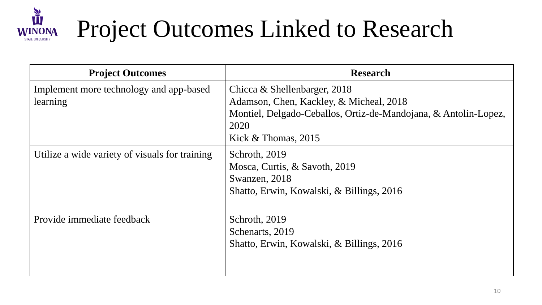

# Project Outcomes Linked to Research

| <b>Project Outcomes</b>                             | <b>Research</b>                                                                                                                                                             |
|-----------------------------------------------------|-----------------------------------------------------------------------------------------------------------------------------------------------------------------------------|
| Implement more technology and app-based<br>learning | Chicca & Shellenbarger, 2018<br>Adamson, Chen, Kackley, & Micheal, 2018<br>Montiel, Delgado-Ceballos, Ortiz-de-Mandojana, & Antolin-Lopez,<br>2020<br>Kick $&$ Thomas, 2015 |
| Utilize a wide variety of visuals for training      | Schroth, 2019<br>Mosca, Curtis, & Savoth, 2019<br>Swanzen, 2018<br>Shatto, Erwin, Kowalski, & Billings, 2016                                                                |
| Provide immediate feedback                          | Schroth, 2019<br>Schenarts, 2019<br>Shatto, Erwin, Kowalski, & Billings, 2016                                                                                               |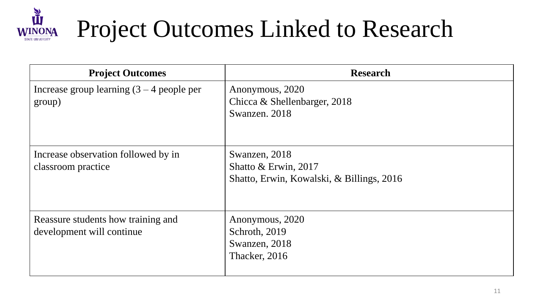

# Project Outcomes Linked to Research

| <b>Project Outcomes</b>                               | <b>Research</b>                                 |
|-------------------------------------------------------|-------------------------------------------------|
| Increase group learning $(3 – 4$ people per<br>group) | Anonymous, 2020<br>Chicca & Shellenbarger, 2018 |
|                                                       | Swanzen. 2018                                   |
|                                                       |                                                 |
| Increase observation followed by in                   | Swanzen, 2018                                   |
| classroom practice                                    | Shatto $& Erwin, 2017$                          |
|                                                       | Shatto, Erwin, Kowalski, & Billings, 2016       |
|                                                       |                                                 |
| Reassure students how training and                    | Anonymous, 2020                                 |
| development will continue                             | Schroth, 2019                                   |
|                                                       | Swanzen, 2018                                   |
|                                                       | Thacker, 2016                                   |
|                                                       |                                                 |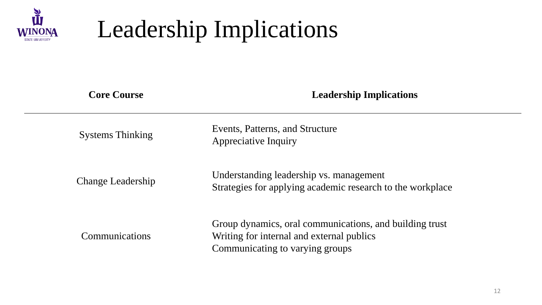

### Leadership Implications

| <b>Core Course</b>      | <b>Leadership Implications</b>                                                                                                          |
|-------------------------|-----------------------------------------------------------------------------------------------------------------------------------------|
| <b>Systems Thinking</b> | Events, Patterns, and Structure<br>Appreciative Inquiry                                                                                 |
| Change Leadership       | Understanding leadership vs. management<br>Strategies for applying academic research to the workplace                                   |
| Communications          | Group dynamics, oral communications, and building trust<br>Writing for internal and external publics<br>Communicating to varying groups |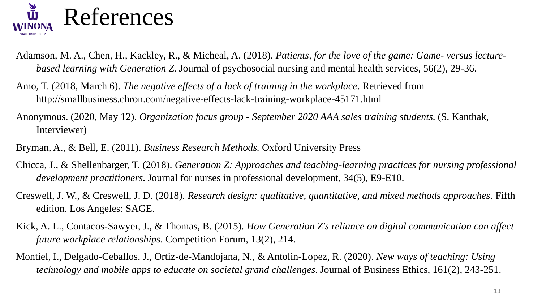

- Adamson, M. A., Chen, H., Kackley, R., & Micheal, A. (2018). *Patients, for the love of the game: Game- versus lecturebased learning with Generation Z*. Journal of psychosocial nursing and mental health services, 56(2), 29-36.
- Amo, T. (2018, March 6). *The negative effects of a lack of training in the workplace*. Retrieved from http://smallbusiness.chron.com/negative-effects-lack-training-workplace-45171.html
- Anonymous. (2020, May 12). *Organization focus group - September 2020 AAA sales training students.* (S. Kanthak, Interviewer)
- Bryman, A., & Bell, E. (2011). *Business Research Methods.* Oxford University Press
- Chicca, J., & Shellenbarger, T. (2018). *Generation Z: Approaches and teaching-learning practices for nursing professional development practitioners*. Journal for nurses in professional development, 34(5), E9-E10.
- Creswell, J. W., & Creswell, J. D. (2018). *Research design: qualitative, quantitative, and mixed methods approaches*. Fifth edition. Los Angeles: SAGE.
- Kick, A. L., Contacos-Sawyer, J., & Thomas, B. (2015). *How Generation Z's reliance on digital communication can affect future workplace relationships*. Competition Forum, 13(2), 214.
- Montiel, I., Delgado-Ceballos, J., Ortiz-de-Mandojana, N., & Antolin-Lopez, R. (2020). *New ways of teaching: Using technology and mobile apps to educate on societal grand challenges.* Journal of Business Ethics, 161(2), 243-251.